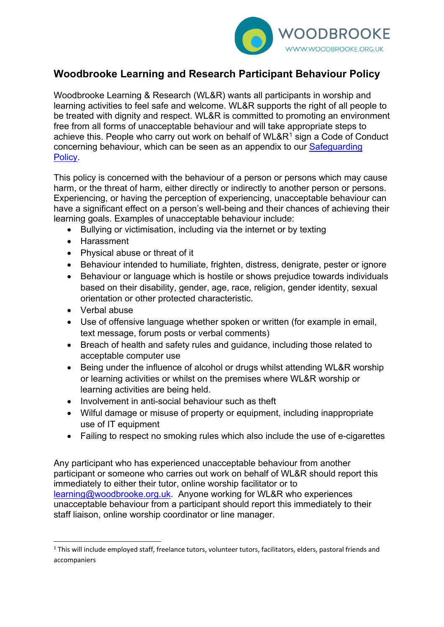

# **Woodbrooke Learning and Research Participant Behaviour Policy**

Woodbrooke Learning & Research (WL&R) wants all participants in worship and learning activities to feel safe and welcome. WL&R supports the right of all people to be treated with dignity and respect. WL&R is committed to promoting an environment free from all forms of unacceptable behaviour and will take appropriate steps to achieve this. People who carry out work on behalf of WL&R<sup>[1](#page-0-0)</sup> sign a Code of Conduct concerning behaviour, which can be seen as an appendix to our [Safeguarding](https://www.woodbrooke.org.uk/wp-content/uploads/2021/12/Woodbrooke-Learning-Research-Safeguarding-Policy-November-2021-1.pdf)  **Policy** 

This policy is concerned with the behaviour of a person or persons which may cause harm, or the threat of harm, either directly or indirectly to another person or persons. Experiencing, or having the perception of experiencing, unacceptable behaviour can have a significant effect on a person's well-being and their chances of achieving their learning goals. Examples of unacceptable behaviour include:

- Bullying or victimisation, including via the internet or by texting
- Harassment
- Physical abuse or threat of it
- Behaviour intended to humiliate, frighten, distress, denigrate, pester or ignore
- Behaviour or language which is hostile or shows prejudice towards individuals based on their disability, gender, age, race, religion, gender identity, sexual orientation or other protected characteristic.
- Verbal abuse
- Use of offensive language whether spoken or written (for example in email, text message, forum posts or verbal comments)
- Breach of health and safety rules and guidance, including those related to acceptable computer use
- Being under the influence of alcohol or drugs whilst attending WL&R worship or learning activities or whilst on the premises where WL&R worship or learning activities are being held.
- Involvement in anti-social behaviour such as theft
- Wilful damage or misuse of property or equipment, including inappropriate use of IT equipment
- Failing to respect no smoking rules which also include the use of e-cigarettes

Any participant who has experienced unacceptable behaviour from another participant or someone who carries out work on behalf of WL&R should report this immediately to either their tutor, online worship facilitator or to [learning@woodbrooke.org.uk.](mailto:learning@woodbrooke.org.uk) Anyone working for WL&R who experiences unacceptable behaviour from a participant should report this immediately to their staff liaison, online worship coordinator or line manager.

<span id="page-0-0"></span><sup>&</sup>lt;sup>1</sup> This will include employed staff, freelance tutors, volunteer tutors, facilitators, elders, pastoral friends and accompaniers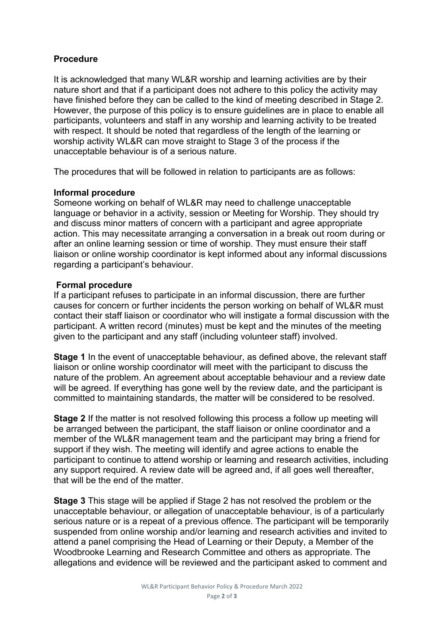## **Procedure**

It is acknowledged that many WL&R worship and learning activities are by their nature short and that if a participant does not adhere to this policy the activity may have finished before they can be called to the kind of meeting described in Stage 2. However, the purpose of this policy is to ensure guidelines are in place to enable all participants, volunteers and staff in any worship and learning activity to be treated with respect. It should be noted that regardless of the length of the learning or worship activity WL&R can move straight to Stage 3 of the process if the unacceptable behaviour is of a serious nature.

The procedures that will be followed in relation to participants are as follows:

### **Informal procedure**

Someone working on behalf of WL&R may need to challenge unacceptable language or behavior in a activity, session or Meeting for Worship. They should try and discuss minor matters of concern with a participant and agree appropriate action. This may necessitate arranging a conversation in a break out room during or after an online learning session or time of worship. They must ensure their staff liaison or online worship coordinator is kept informed about any informal discussions regarding a participant's behaviour.

### **Formal procedure**

If a participant refuses to participate in an informal discussion, there are further causes for concern or further incidents the person working on behalf of WL&R must contact their staff liaison or coordinator who will instigate a formal discussion with the participant. A written record (minutes) must be kept and the minutes of the meeting given to the participant and any staff (including volunteer staff) involved.

**Stage 1** In the event of unacceptable behaviour, as defined above, the relevant staff liaison or online worship coordinator will meet with the participant to discuss the nature of the problem. An agreement about acceptable behaviour and a review date will be agreed. If everything has gone well by the review date, and the participant is committed to maintaining standards, the matter will be considered to be resolved.

**Stage 2** If the matter is not resolved following this process a follow up meeting will be arranged between the participant, the staff liaison or online coordinator and a member of the WL&R management team and the participant may bring a friend for support if they wish. The meeting will identify and agree actions to enable the participant to continue to attend worship or learning and research activities, including any support required. A review date will be agreed and, if all goes well thereafter, that will be the end of the matter.

**Stage 3** This stage will be applied if Stage 2 has not resolved the problem or the unacceptable behaviour, or allegation of unacceptable behaviour, is of a particularly serious nature or is a repeat of a previous offence. The participant will be temporarily suspended from online worship and/or learning and research activities and invited to attend a panel comprising the Head of Learning or their Deputy, a Member of the Woodbrooke Learning and Research Committee and others as appropriate. The allegations and evidence will be reviewed and the participant asked to comment and